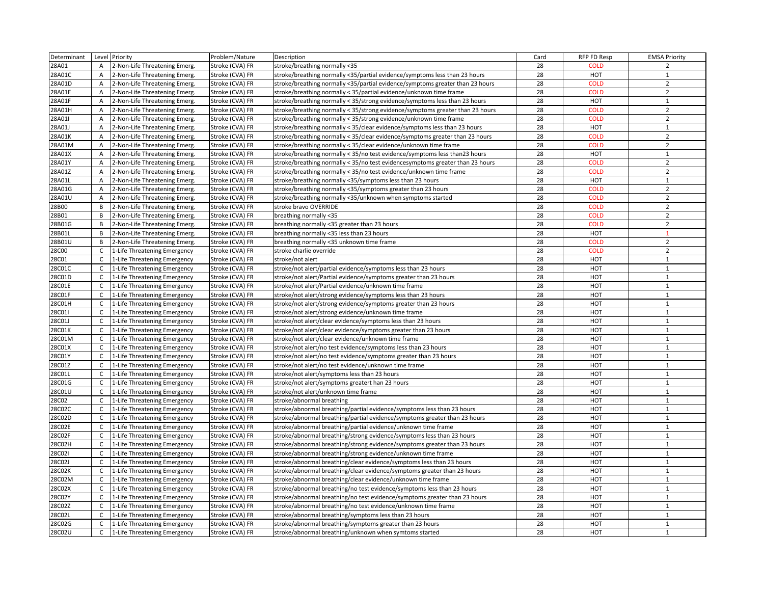| Determinant      |                              | Level Priority                                               | Problem/Nature                     | Description                                                                                                                                         | Card     | RFP FD Resp       | <b>EMSA Priority</b>  |
|------------------|------------------------------|--------------------------------------------------------------|------------------------------------|-----------------------------------------------------------------------------------------------------------------------------------------------------|----------|-------------------|-----------------------|
| 28A01            | A                            | 2-Non-Life Threatening Emerg.                                | Stroke (CVA) FR                    | stroke/breathing normally <35                                                                                                                       | 28       | <b>COLD</b>       | $\overline{2}$        |
| 28A01C           | $\overline{A}$               | 2-Non-Life Threatening Emerg.                                | Stroke (CVA) FR                    | stroke/breathing normally <35/partial evidence/symptoms less than 23 hours                                                                          | 28       | <b>HOT</b>        | $\mathbf{1}$          |
| 28A01D           | A                            | 2-Non-Life Threatening Emerg.                                | Stroke (CVA) FR                    | stroke/breathing normally <35/partial evidence/symptoms greater than 23 hours                                                                       | 28       | <b>COLD</b>       | $\overline{2}$        |
| 28A01E           | Α                            | 2-Non-Life Threatening Emerg.                                | Stroke (CVA) FR                    | stroke/breathing normally < 35/partial evidence/unknown time frame                                                                                  | 28       | <b>COLD</b>       | $\overline{2}$        |
| 28A01F           | $\overline{A}$               | 2-Non-Life Threatening Emerg.                                | Stroke (CVA) FR                    | stroke/breathing normally < 35/strong evidence/symptoms less than 23 hours                                                                          | 28       | HOT               | $\mathbf{1}$          |
| 28A01H           | A                            | 2-Non-Life Threatening Emerg.                                | Stroke (CVA) FR                    | stroke/breathing normally < 35/strong evidence/symptoms greater than 23 hours                                                                       | 28       | <b>COLD</b>       | $\overline{2}$        |
| 28A01I           | A                            | 2-Non-Life Threatening Emerg.                                | Stroke (CVA) FR                    | stroke/breathing normally < 35/strong evidence/unknown time frame                                                                                   | 28       | <b>COLD</b>       | $\overline{2}$        |
| 28A01J           | $\overline{A}$               | 2-Non-Life Threatening Emerg.                                | Stroke (CVA) FR                    | stroke/breathing normally < 35/clear evidence/symptoms less than 23 hours                                                                           | 28       | HOT               | $\mathbf{1}$          |
| 28A01K           | Α                            | 2-Non-Life Threatening Emerg.                                | Stroke (CVA) FR                    | stroke/breathing normally < 35/clear evidence/symptoms greater than 23 hours                                                                        | 28       | <b>COLD</b>       | $\overline{2}$        |
| 28A01M           | $\overline{A}$               | 2-Non-Life Threatening Emerg.                                | Stroke (CVA) FR                    | stroke/breathing normally < 35/clear evidence/unknown time frame                                                                                    | 28       | <b>COLD</b>       | $\overline{2}$        |
| 28A01X           | $\overline{A}$               | 2-Non-Life Threatening Emerg.                                | Stroke (CVA) FR                    | stroke/breathing normally < 35/no test evidence/symptoms less than23 hours                                                                          | 28       | HOT               | $\mathbf 1$           |
| 28A01Y           | A                            | 2-Non-Life Threatening Emerg.                                | Stroke (CVA) FR                    | stroke/breathing normally < 35/no test evidencesymptoms greater than 23 hours                                                                       | 28       | <b>COLD</b>       | $\overline{2}$        |
| 28A01Z           | A                            | 2-Non-Life Threatening Emerg.                                | Stroke (CVA) FR                    | stroke/breathing normally < 35/no test evidence/unknown time frame                                                                                  | 28       | <b>COLD</b>       | $\overline{2}$        |
| 28A01L           | A                            | 2-Non-Life Threatening Emerg.                                | Stroke (CVA) FR                    | stroke/breathing normally <35/symptoms less than 23 hours                                                                                           | 28       | <b>HOT</b>        | $\mathbf{1}$          |
| 28A01G           | $\mathsf{A}$                 | 2-Non-Life Threatening Emerg.                                | Stroke (CVA) FR                    | stroke/breathing normally <35/symptoms greater than 23 hours                                                                                        | 28       | <b>COLD</b>       | $\overline{2}$        |
| 28A01U           | A                            | 2-Non-Life Threatening Emerg.                                | Stroke (CVA) FR                    | stroke/breathing normally <35/unknown when symptoms started                                                                                         | 28       | <b>COLD</b>       | $\overline{2}$        |
| 28B00            | В                            | 2-Non-Life Threatening Emerg.                                | Stroke (CVA) FR                    | stroke bravo OVERRIDE                                                                                                                               | 28       | <b>COLD</b>       | $\overline{2}$        |
| 28B01            | B                            | 2-Non-Life Threatening Emerg.                                | Stroke (CVA) FR                    | breathing normally <35                                                                                                                              | 28       | <b>COLD</b>       | $\overline{2}$        |
| 28B01G           | B                            | 2-Non-Life Threatening Emerg.                                | Stroke (CVA) FR                    | breathing normally <35 greater than 23 hours                                                                                                        | 28       | <b>COLD</b>       | $\overline{2}$        |
| 28B01L           | B                            | 2-Non-Life Threatening Emerg.                                | Stroke (CVA) FR                    | breathing normally <35 less than 23 hours                                                                                                           | 28       | HOT               | $\mathbf{1}$          |
| 28B01U           | B                            | 2-Non-Life Threatening Emerg.                                | Stroke (CVA) FR                    | breathing normally <35 unknown time frame                                                                                                           | 28       | <b>COLD</b>       | $\overline{2}$        |
| 28C00            | C                            | 1-Life Threatening Emergency                                 | Stroke (CVA) FR                    | stroke charlie override                                                                                                                             | 28       | <b>COLD</b>       | $\overline{2}$        |
| 28C01            | C                            | 1-Life Threatening Emergency                                 | Stroke (CVA) FR                    | stroke/not alert                                                                                                                                    | 28       | HOT               | $\mathbf{1}$          |
| 28C01C           | $\mathsf{C}$                 | 1-Life Threatening Emergency                                 | Stroke (CVA) FR                    | stroke/not alert/partial evidence/symptoms less than 23 hours                                                                                       | 28       | HOT               | $\mathbf{1}$          |
| 28C01D           | C                            | 1-Life Threatening Emergency                                 | Stroke (CVA) FR                    | stroke/not alert/Partial evidence/symptoms greater than 23 hours                                                                                    | 28       | HOT               | $\mathbf{1}$          |
| 28C01E           | $\mathsf{C}$                 | 1-Life Threatening Emergency                                 | Stroke (CVA) FR                    | stroke/not alert/Partial evidence/unknown time frame                                                                                                | 28       | HOT               | $\mathbf{1}$          |
| 28C01F           | $\mathsf{C}$                 | 1-Life Threatening Emergency                                 | Stroke (CVA) FR                    | stroke/not alert/strong evidence/symptoms less than 23 hours                                                                                        | 28       | HOT               | $\mathbf{1}$          |
| 28C01H           | $\mathsf{C}$                 | 1-Life Threatening Emergency                                 | Stroke (CVA) FR                    | stroke/not alert/strong evidence/symptoms greater than 23 hours                                                                                     | 28       | HOT               | $\mathbf{1}$          |
| 28C01I           | $\mathsf{C}$                 | 1-Life Threatening Emergency                                 | Stroke (CVA) FR                    | stroke/not alert/strong evidence/unknown time frame                                                                                                 | 28       | HOT               | $\mathbf{1}$          |
| 28C01J           | C                            | 1-Life Threatening Emergency                                 | Stroke (CVA) FR                    | stroke/not alert/clear evidence/symptoms less than 23 hours                                                                                         | 28       | HOT               | $\mathbf{1}$          |
| 28C01K           |                              | C   1-Life Threatening Emergency                             | Stroke (CVA) FR                    | stroke/not alert/clear evidence/symptoms greater than 23 hours                                                                                      | 28       | <b>HOT</b>        | $\mathbf{1}$          |
| 28C01M           | $\mathsf{C}$                 | 1-Life Threatening Emergency                                 | Stroke (CVA) FR                    | stroke/not alert/clear evidence/unknown time frame                                                                                                  | 28       | <b>HOT</b>        | $\mathbf{1}$          |
| 28C01X           | $\mathsf{C}$                 | 1-Life Threatening Emergency                                 | Stroke (CVA) FR                    | stroke/not alert/no test evidence/symptoms less than 23 hours                                                                                       | 28       | HOT               | $\mathbf{1}$          |
| 28C01Y           | $\mathsf{C}$                 | 1-Life Threatening Emergency                                 | Stroke (CVA) FR                    | stroke/not alert/no test evidence/symptoms greater than 23 hours                                                                                    | 28       | HOT               | $\mathbf{1}$          |
| 28C01Z           | $\mathsf{C}$                 |                                                              |                                    |                                                                                                                                                     | 28       | HOT               | $\mathbf{1}$          |
| 28C01L           | $\mathsf{C}$                 | 1-Life Threatening Emergency<br>1-Life Threatening Emergency | Stroke (CVA) FR<br>Stroke (CVA) FR | stroke/not alert/no test evidence/unknown time frame<br>stroke/not alert/symptoms less than 23 hours                                                | 28       | HOT               | $\mathbf{1}$          |
| 28C01G           | C                            | 1-Life Threatening Emergency                                 | Stroke (CVA) FR                    | stroke/not alert/symptoms greatert han 23 hours                                                                                                     | 28       | HOT               | $\mathbf{1}$          |
| 28C01U           | $\mathsf{C}$                 | 1-Life Threatening Emergency                                 | Stroke (CVA) FR                    | stroke/not alert/unknown time frame                                                                                                                 | 28       | HOT               | $\mathbf{1}$          |
| 28C02            | $\mathsf{C}$                 | 1-Life Threatening Emergency                                 | Stroke (CVA) FR                    | stroke/abnormal breathing                                                                                                                           | 28       | HOT               | $\mathbf{1}$          |
| 28C02C           | $\mathsf{C}$                 |                                                              | Stroke (CVA) FR                    |                                                                                                                                                     | 28       | HOT               | $\mathbf{1}$          |
| 28C02D           | $\mathsf{C}$                 | 1-Life Threatening Emergency<br>1-Life Threatening Emergency | Stroke (CVA) FR                    | stroke/abnormal breathing/partial evidence/symptoms less than 23 hours<br>stroke/abnormal breathing/partial evidence/symptoms greater than 23 hours | 28       | HOT               | $\mathbf{1}$          |
|                  | $\mathsf{C}$                 |                                                              | Stroke (CVA) FR                    |                                                                                                                                                     | 28       | <b>HOT</b>        | $\mathbf{1}$          |
| 28C02E<br>28C02F | $\mathsf{C}$                 | 1-Life Threatening Emergency<br>1-Life Threatening Emergency | Stroke (CVA) FR                    | stroke/abnormal breathing/partial evidence/unknown time frame<br>stroke/abnormal breathing/strong evidence/symptoms less than 23 hours              | 28       | HOT               | $\mathbf{1}$          |
|                  |                              |                                                              |                                    |                                                                                                                                                     | 28       |                   | $\mathbf{1}$          |
| 28C02H           | $\mathsf{C}$                 | 1-Life Threatening Emergency                                 | Stroke (CVA) FR                    | stroke/abnormal breathing/strong evidence/symptoms greater than 23 hours                                                                            |          | HOT<br><b>HOT</b> | $\mathbf{1}$          |
| 28C02I           | $\mathsf{C}$                 | 1-Life Threatening Emergency                                 | Stroke (CVA) FR                    | stroke/abnormal breathing/strong evidence/unknown time frame                                                                                        | 28<br>28 |                   | $1\,$                 |
| 28C02J           | $\mathsf{C}$<br>$\mathsf{C}$ | 1-Life Threatening Emergency                                 | Stroke (CVA) FR                    | stroke/abnormal breathing/clear evidence/symptoms less than 23 hours                                                                                | 28       | HOT               | $\mathbf{1}$          |
| 28C02K           |                              | 1-Life Threatening Emergency                                 | Stroke (CVA) FR                    | stroke/abnormal breathing/clear evidence/symptoms greater than 23 hours                                                                             |          | HOT               |                       |
| 28C02M           |                              | C 1-Life Threatening Emergency                               | Stroke (CVA) FR                    | stroke/abnormal breathing/clear evidence/unknown time frame                                                                                         | 28       | HOT               | $\mathbf{1}$<br>$1\,$ |
| 28C02X           | $\mathsf{C}$                 | 1-Life Threatening Emergency                                 | Stroke (CVA) FR                    | stroke/abnormal breathing/no test evidence/symptoms less than 23 hours                                                                              | 28       | HOT               |                       |
| 28C02Y           | C                            | 1-Life Threatening Emergency                                 | Stroke (CVA) FR                    | stroke/abnormal breathing/no test evidence/symptoms greater than 23 hours                                                                           | 28       | HOT               | $\mathbf{1}$          |
| 28C02Z           | $\mathsf{C}$                 | 1-Life Threatening Emergency                                 | Stroke (CVA) FR                    | stroke/abnormal breathing/no test evidence/unknown time frame                                                                                       | 28       | HOT               | $\mathbf{1}$          |
| 28C02L           | $\mathsf{C}$                 | 1-Life Threatening Emergency                                 | Stroke (CVA) FR                    | stroke/abnormal breathing/symptoms less than 23 hours                                                                                               | 28<br>28 | HOT               | $1\,$                 |
| 28C02G           | $\mathsf{C}$                 | 1-Life Threatening Emergency                                 | Stroke (CVA) FR                    | stroke/abnormal breathing/symptoms greater than 23 hours                                                                                            |          | HOT               | $\mathbf{1}$          |
| 28C02U           |                              | C 1-Life Threatening Emergency                               | Stroke (CVA) FR                    | stroke/abnormal breathing/unknown when symtoms started                                                                                              | 28       | <b>HOT</b>        | $\mathbf{1}$          |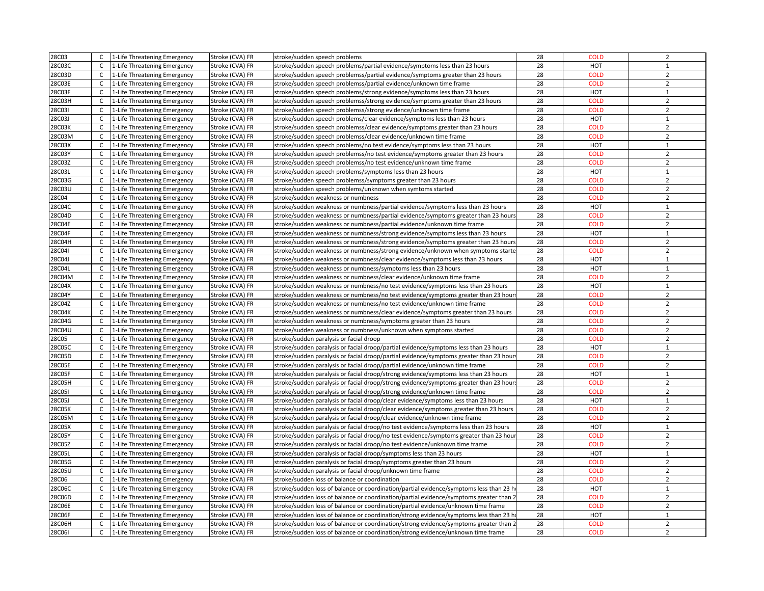| 28C03            | $\mathsf{C}$ | 1-Life Threatening Emergency                                 | Stroke (CVA) FR                    | stroke/sudden speech problems                                                                                                                  | 28 | COLD               | $\overline{2}$ |
|------------------|--------------|--------------------------------------------------------------|------------------------------------|------------------------------------------------------------------------------------------------------------------------------------------------|----|--------------------|----------------|
| 28C03C           | C            | 1-Life Threatening Emergency                                 | Stroke (CVA) FR                    | stroke/sudden speech problems/partial evidence/symptoms less than 23 hours                                                                     | 28 | HOT                | $\mathbf{1}$   |
| 28C03D           | $\mathsf{C}$ | 1-Life Threatening Emergency                                 | Stroke (CVA) FR                    | stroke/sudden speech problemss/partial evidence/symptoms greater than 23 hours                                                                 | 28 | <b>COLD</b>        | $\overline{2}$ |
| 28C03E           | $\mathsf{C}$ | 1-Life Threatening Emergency                                 | Stroke (CVA) FR                    | stroke/sudden speech problemss/partial evidence/unknown time frame                                                                             | 28 | <b>COLD</b>        | $\overline{2}$ |
| 28C03F           | $\mathsf{C}$ | 1-Life Threatening Emergency                                 | Stroke (CVA) FR                    | stroke/sudden speech problems/strong evidence/symptoms less than 23 hours                                                                      | 28 | HOT                | $\mathbf 1$    |
| 28C03H           | $\mathsf{C}$ | 1-Life Threatening Emergency                                 | Stroke (CVA) FR                    | stroke/sudden speech problemss/strong evidence/symptoms greater than 23 hours                                                                  | 28 | <b>COLD</b>        | $\overline{2}$ |
| 28C03I           | $\mathsf{C}$ | 1-Life Threatening Emergency                                 | Stroke (CVA) FR                    | stroke/sudden speech problemss/strong evidence/unknown time frame                                                                              | 28 | <b>COLD</b>        | $\overline{2}$ |
| 28C03J           | $\mathsf{C}$ | 1-Life Threatening Emergency                                 | Stroke (CVA) FR                    | stroke/sudden speech problems/clear evidence/symptoms less than 23 hours                                                                       | 28 | HOT                | $\mathbf{1}$   |
| 28C03K           | $\mathsf C$  | 1-Life Threatening Emergency                                 | Stroke (CVA) FR                    | stroke/sudden speech problemss/clear evidence/symptoms greater than 23 hours                                                                   | 28 | <b>COLD</b>        | $\overline{2}$ |
|                  | C            |                                                              |                                    |                                                                                                                                                | 28 | <b>COLD</b>        | $\overline{2}$ |
| 28C03M<br>28C03X | $\mathsf{C}$ | 1-Life Threatening Emergency<br>1-Life Threatening Emergency | Stroke (CVA) FR<br>Stroke (CVA) FR | stroke/sudden speech problemss/clear evidence/unknown time frame<br>stroke/sudden speech problems/no test evidence/symptoms less than 23 hours | 28 | HOT                | $\mathbf{1}$   |
|                  |              |                                                              |                                    |                                                                                                                                                |    |                    | $\overline{2}$ |
| 28C03Y           | C            | 1-Life Threatening Emergency                                 | Stroke (CVA) FR                    | stroke/sudden speech problemss/no test evidence/symptoms greater than 23 hours                                                                 | 28 | <b>COLD</b>        |                |
| 28C03Z           | C            | 1-Life Threatening Emergency                                 | Stroke (CVA) FR                    | stroke/sudden speech problemss/no test evidence/unknown time frame                                                                             | 28 | <b>COLD</b>        | $\overline{2}$ |
| 28C03L           | $\mathsf{C}$ | 1-Life Threatening Emergency                                 | Stroke (CVA) FR                    | stroke/sudden speech problems/symptoms less than 23 hours                                                                                      | 28 | HOT                | $\mathbf{1}$   |
| 28C03G           | $\mathsf{C}$ | 1-Life Threatening Emergency                                 | Stroke (CVA) FR                    | stroke/sudden speech problemss/symptoms greater than 23 hours                                                                                  | 28 | <b>COLD</b>        | $\overline{2}$ |
| 28C03U           | $\mathsf{C}$ | 1-Life Threatening Emergency                                 | Stroke (CVA) FR                    | stroke/sudden speech problems/unknown when symtoms started                                                                                     | 28 | <b>COLD</b>        | $\overline{2}$ |
| 28C04            | $\mathsf{C}$ | 1-Life Threatening Emergency                                 | Stroke (CVA) FR                    | stroke/sudden weakness or numbness                                                                                                             | 28 | <b>COLD</b>        | $\overline{2}$ |
| 28C04C           | $\mathsf{C}$ | 1-Life Threatening Emergency                                 | Stroke (CVA) FR                    | stroke/sudden weakness or numbness/partial evidence/symptoms less than 23 hours                                                                | 28 | HOT                | $\mathbf{1}$   |
| 28C04D           | $\mathsf{C}$ | 1-Life Threatening Emergency                                 | Stroke (CVA) FR                    | stroke/sudden weakness or numbness/partial evidence/symptoms greater than 23 hours                                                             | 28 | <b>COLD</b>        | $\overline{2}$ |
| 28C04E           | $\mathsf{C}$ | 1-Life Threatening Emergency                                 | Stroke (CVA) FR                    | stroke/sudden weakness or numbness/partial evidence/unknown time frame                                                                         | 28 | <b>COLD</b>        | $\overline{2}$ |
| 28C04F           | $\mathsf{C}$ | 1-Life Threatening Emergency                                 | Stroke (CVA) FR                    | stroke/sudden weakness or numbness/strong evidence/symptoms less than 23 hours                                                                 | 28 | HOT                | $\mathbf{1}$   |
| 28C04H           | $\mathsf{C}$ | 1-Life Threatening Emergency                                 | Stroke (CVA) FR                    | stroke/sudden weakness or numbness/strong evidence/symptoms greater than 23 hour:                                                              | 28 | <b>COLD</b>        | $\overline{2}$ |
| 28C04I           | C            | 1-Life Threatening Emergency                                 | Stroke (CVA) FR                    | stroke/sudden weakness or numbness/strong evidence/unknown when symptoms starte                                                                | 28 | <b>COLD</b>        | $\overline{2}$ |
| 28C04J           | $\mathsf{C}$ | 1-Life Threatening Emergency                                 | Stroke (CVA) FR                    | stroke/sudden weakness or numbness/clear evidence/symptoms less than 23 hours                                                                  | 28 | HOT                | $\mathbf{1}$   |
| 28C04L           | $\mathsf{C}$ | 1-Life Threatening Emergency                                 | Stroke (CVA) FR                    | stroke/sudden weakness or numbness/symptoms less than 23 hours                                                                                 | 28 | <b>HOT</b>         | $\mathbf{1}$   |
| 28C04M           | $\mathsf{C}$ | 1-Life Threatening Emergency                                 | Stroke (CVA) FR                    | stroke/sudden weakness or numbness/clear evidence/unknown time frame                                                                           | 28 | <b>COLD</b>        | $\overline{2}$ |
| 28C04X           | C            | 1-Life Threatening Emergency                                 | Stroke (CVA) FR                    | stroke/sudden weakness or numbness/no test evidence/symptoms less than 23 hours                                                                | 28 | HOT                | $\mathbf{1}$   |
| 28C04Y           | $\mathsf{C}$ | 1-Life Threatening Emergency                                 | Stroke (CVA) FR                    | stroke/sudden weakness or numbness/no test evidence/symptoms greater than 23 hour.                                                             | 28 | <b>COLD</b>        | $\overline{2}$ |
| 28C04Z           | $\mathsf C$  | 1-Life Threatening Emergency                                 | Stroke (CVA) FR                    | stroke/sudden weakness or numbness/no test evidence/unknown time frame                                                                         | 28 | <b>COLD</b>        | $\overline{2}$ |
| 28C04K           | $\mathsf{C}$ | 1-Life Threatening Emergency                                 | Stroke (CVA) FR                    | stroke/sudden weakness or numbness/clear evidence/symptoms greater than 23 hours                                                               | 28 | <b>COLD</b>        | $\overline{2}$ |
| 28C04G           | $\mathsf{C}$ | 1-Life Threatening Emergency                                 | Stroke (CVA) FR                    | stroke/sudden weakness or numbness/symptoms greater than 23 hours                                                                              | 28 | <b>COLD</b>        | $\overline{2}$ |
| 28C04U           | $\mathsf{C}$ | 1-Life Threatening Emergency                                 | Stroke (CVA) FR                    | stroke/sudden weakness or numbness/unknown when symptoms started                                                                               | 28 | <b>COLD</b>        | $\overline{2}$ |
| 28C05            | $\mathsf{C}$ | 1-Life Threatening Emergency                                 | Stroke (CVA) FR                    | stroke/sudden paralysis or facial droop                                                                                                        | 28 | <b>COLD</b>        | $\overline{2}$ |
| 28C05C           | C            | 1-Life Threatening Emergency                                 | Stroke (CVA) FR                    | stroke/sudden paralysis or facial droop/partial evidence/symptoms less than 23 hours                                                           | 28 | HOT                | $\mathbf{1}$   |
| 28C05D           | $\mathsf{C}$ | 1-Life Threatening Emergency                                 | Stroke (CVA) FR                    | stroke/sudden paralysis or facial droop/partial evidence/symptoms greater than 23 hour                                                         | 28 | <b>COLD</b>        | $\overline{2}$ |
| 28C05E           | $\mathsf{C}$ | 1-Life Threatening Emergency                                 | Stroke (CVA) FR                    | stroke/sudden paralysis or facial droop/partial evidence/unknown time frame                                                                    | 28 | <b>COLD</b>        | $\overline{2}$ |
| 28C05F           | $\mathsf{C}$ | 1-Life Threatening Emergency                                 | Stroke (CVA) FR                    | stroke/sudden paralysis or facial droop/strong evidence/symptoms less than 23 hours                                                            | 28 | HOT                | $\mathbf{1}$   |
| 28C05H           | $\mathsf{C}$ | 1-Life Threatening Emergency                                 | Stroke (CVA) FR                    | stroke/sudden paralysis or facial droop/strong evidence/symptoms greater than 23 hour                                                          | 28 | <b>COLD</b>        | $\overline{2}$ |
| 28C05I           | $\mathsf{C}$ | 1-Life Threatening Emergency                                 | Stroke (CVA) FR                    | stroke/sudden paralysis or facial droop/strong evidence/unknown time frame                                                                     | 28 | <b>COLD</b>        | $\overline{2}$ |
| 28C05J           | $\mathsf{C}$ | 1-Life Threatening Emergency                                 | Stroke (CVA) FR                    | stroke/sudden paralysis or facial droop/clear evidence/symptoms less than 23 hours                                                             | 28 | HOT                | $\mathbf{1}$   |
| 28C05K           | $\mathsf{C}$ | 1-Life Threatening Emergency                                 | Stroke (CVA) FR                    | stroke/sudden paralysis or facial droop/clear evidence/symptoms greater than 23 hours                                                          | 28 | <b>COLD</b>        | $\overline{2}$ |
| 28C05M           | $\mathsf{C}$ | 1-Life Threatening Emergency                                 | Stroke (CVA) FR                    | stroke/sudden paralysis or facial droop/clear evidence/unknown time frame                                                                      | 28 | <b>COLD</b>        | $\overline{2}$ |
| 28C05X           | $\mathsf{C}$ | 1-Life Threatening Emergency                                 | Stroke (CVA) FR                    | stroke/sudden paralysis or facial droop/no test evidence/symptoms less than 23 hours                                                           | 28 | HOT                | $\mathbf{1}$   |
| 28C05Y           | C            | 1-Life Threatening Emergency                                 | Stroke (CVA) FR                    | stroke/sudden paralysis or facial droop/no test evidence/symptoms greater than 23 hou                                                          | 28 | <b>COLD</b>        | $\overline{2}$ |
| 28C05Z           | $\mathsf{C}$ | 1-Life Threatening Emergency                                 | Stroke (CVA) FR                    | stroke/sudden paralysis or facial droop/no test evidence/unknown time frame                                                                    | 28 | <b>COLD</b>        | $\overline{2}$ |
| 28C05L           | C            | 1-Life Threatening Emergency                                 | Stroke (CVA) FR                    | stroke/sudden paralysis or facial droop/symptoms less than 23 hours                                                                            | 28 | HOT                | $\mathbf{1}$   |
| 28C05G           | C            | 1-Life Threatening Emergency                                 | Stroke (CVA) FR                    | stroke/sudden paralysis or facial droop/symptoms greater than 23 hours                                                                         | 28 | <b>COLD</b>        | $\overline{2}$ |
| 28C05U           | $\mathsf{C}$ | 1-Life Threatening Emergency                                 | Stroke (CVA) FR                    | stroke/sudden paralysis or facial droop/unknown time frame                                                                                     | 28 | <b>COLD</b>        | $\overline{2}$ |
| 28C06            | $\mathsf{C}$ | 1-Life Threatening Emergency                                 | Stroke (CVA) FR                    | stroke/sudden loss of balance or coordination                                                                                                  | 28 | <b>COLD</b>        | $\overline{2}$ |
| 28C06C           | $\mathsf{C}$ | 1-Life Threatening Emergency                                 | Stroke (CVA) FR                    | stroke/sudden loss of balance or coordination/partial evidence/symptoms less than 23 ho                                                        | 28 | HOT                | $\mathbf{1}$   |
| 28C06D           | $\mathsf{C}$ |                                                              | Stroke (CVA) FR                    | stroke/sudden loss of balance or coordination/partial evidence/symptoms greater than 2                                                         | 28 | <b>COLD</b>        | $\overline{2}$ |
|                  | $\mathsf{C}$ | 1-Life Threatening Emergency                                 |                                    |                                                                                                                                                | 28 | <b>COLD</b>        | $\overline{2}$ |
| 28C06E<br>28C06F | C            | 1-Life Threatening Emergency                                 | Stroke (CVA) FR                    | stroke/sudden loss of balance or coordination/partial evidence/unknown time frame                                                              | 28 |                    | $\mathbf 1$    |
|                  |              | 1-Life Threatening Emergency                                 | Stroke (CVA) FR                    | stroke/sudden loss of balance or coordination/strong evidence/symptoms less than 23 h                                                          | 28 | HOT<br><b>COLD</b> | $\overline{2}$ |
| 28C06H           | $\mathsf{C}$ | 1-Life Threatening Emergency                                 | Stroke (CVA) FR                    | stroke/sudden loss of balance or coordination/strong evidence/symptoms greater than 2                                                          |    |                    |                |
| <b>28C06I</b>    |              | C 1-Life Threatening Emergency                               | Stroke (CVA) FR                    | stroke/sudden loss of balance or coordination/strong evidence/unknown time frame                                                               | 28 | <b>COLD</b>        | $\overline{2}$ |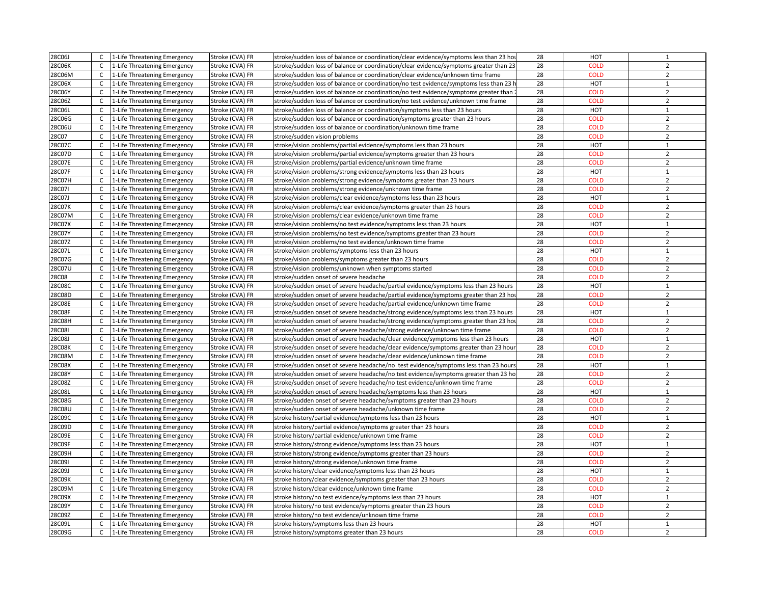| 28C06J        | $\mathsf{C}$ | 1-Life Threatening Emergency                                 | Stroke (CVA) FR | stroke/sudden loss of balance or coordination/clear evidence/symptoms less than 23 hour | 28       | <b>HOT</b>                 | $\mathbf{1}$   |
|---------------|--------------|--------------------------------------------------------------|-----------------|-----------------------------------------------------------------------------------------|----------|----------------------------|----------------|
| 28C06K        | $\mathsf{C}$ | 1-Life Threatening Emergency                                 | Stroke (CVA) FR | stroke/sudden loss of balance or coordination/clear evidence/symptoms greater than 23   | 28       | <b>COLD</b>                | $\overline{2}$ |
| 28C06M        | $\mathsf{C}$ | 1-Life Threatening Emergency                                 | Stroke (CVA) FR | stroke/sudden loss of balance or coordination/clear evidence/unknown time frame         | 28       | <b>COLD</b>                | $\overline{2}$ |
| 28C06X        | $\mathsf{C}$ | 1-Life Threatening Emergency                                 | Stroke (CVA) FR | stroke/sudden loss of balance or coordination/no test evidence/symptoms less than 23 l  | 28       | <b>HOT</b>                 | $\mathbf{1}$   |
| 28C06Y        | C            | 1-Life Threatening Emergency                                 | Stroke (CVA) FR | stroke/sudden loss of balance or coordination/no test evidence/symptoms greater than    | 28       | <b>COLD</b>                | $\overline{2}$ |
| 28C06Z        | $\mathsf{C}$ | 1-Life Threatening Emergency                                 | Stroke (CVA) FR | stroke/sudden loss of balance or coordination/no test evidence/unknown time frame       | 28       | <b>COLD</b>                | $\overline{2}$ |
| 28C06L        | $\mathsf{C}$ | 1-Life Threatening Emergency                                 | Stroke (CVA) FR | stroke/sudden loss of balance or coordination/symptoms less than 23 hours               | 28       | HOT                        | $\mathbf{1}$   |
| 28C06G        | $\mathsf{C}$ | 1-Life Threatening Emergency                                 | Stroke (CVA) FR |                                                                                         | 28       | <b>COLD</b>                | $\overline{2}$ |
|               | $\mathsf{C}$ |                                                              |                 | stroke/sudden loss of balance or coordination/symptoms greater than 23 hours            |          |                            | $\overline{2}$ |
| 28C06U        |              | 1-Life Threatening Emergency                                 | Stroke (CVA) FR | stroke/sudden loss of balance or coordination/unknown time frame                        | 28<br>28 | <b>COLD</b><br><b>COLD</b> | $\overline{2}$ |
| 28C07         | $\mathsf{C}$ | 1-Life Threatening Emergency                                 | Stroke (CVA) FR | stroke/sudden vision problems                                                           | 28       | HOT                        | $\mathbf{1}$   |
| 28C07C        | $\mathsf{C}$ | 1-Life Threatening Emergency                                 | Stroke (CVA) FR | stroke/vision problems/partial evidence/symptoms less than 23 hours                     |          |                            |                |
| 28C07D        | $\mathsf{C}$ | 1-Life Threatening Emergency                                 | Stroke (CVA) FR | stroke/vision problems/partial evidence/symptoms greater than 23 hours                  | 28       | <b>COLD</b>                | $\overline{2}$ |
| 28C07E        | $\mathsf{C}$ | 1-Life Threatening Emergency                                 | Stroke (CVA) FR | stroke/vision problems/partial evidence/unknown time frame                              | 28       | <b>COLD</b>                | $\overline{2}$ |
| 28C07F        | $\mathsf{C}$ | 1-Life Threatening Emergency                                 | Stroke (CVA) FR | stroke/vision problems/strong evidence/symptoms less than 23 hours                      | 28       | HOT                        | $\mathbf 1$    |
| 28C07H        | $\mathsf{C}$ | 1-Life Threatening Emergency                                 | Stroke (CVA) FR | stroke/vision problems/strong evidence/symptoms greater than 23 hours                   | 28       | <b>COLD</b>                | $\overline{2}$ |
| 28C07I        | C            | 1-Life Threatening Emergency                                 | Stroke (CVA) FR | stroke/vision problems/strong evidence/unknown time frame                               | 28       | <b>COLD</b>                | $\overline{2}$ |
| 28C07J        | $\mathsf{C}$ | 1-Life Threatening Emergency                                 | Stroke (CVA) FR | stroke/vision problems/clear evidence/symptoms less than 23 hours                       | 28       | HOT                        | $\mathbf{1}$   |
| 28C07K        | $\mathsf{C}$ | 1-Life Threatening Emergency                                 | Stroke (CVA) FR | stroke/vision problems/clear evidence/symptoms greater than 23 hours                    | 28       | <b>COLD</b>                | $\overline{2}$ |
| 28C07M        | C            | 1-Life Threatening Emergency                                 | Stroke (CVA) FR | stroke/vision problems/clear evidence/unknown time frame                                | 28       | <b>COLD</b>                | $\overline{2}$ |
| 28C07X        | $\mathsf{C}$ | 1-Life Threatening Emergency                                 | Stroke (CVA) FR | stroke/vision problems/no test evidence/symptoms less than 23 hours                     | 28       | HOT                        | $\mathbf{1}$   |
| 28C07Y        | $\mathsf{C}$ | 1-Life Threatening Emergency                                 | Stroke (CVA) FR | stroke/vision problems/no test evidence/symptoms greater than 23 hours                  | 28       | <b>COLD</b>                | $\overline{2}$ |
| 28C07Z        | $\mathsf C$  | 1-Life Threatening Emergency                                 | Stroke (CVA) FR | stroke/vision problems/no test evidence/unknown time frame                              | 28       | <b>COLD</b>                | $\overline{2}$ |
| 28C07L        | $\mathsf{C}$ | 1-Life Threatening Emergency                                 | Stroke (CVA) FR | stroke/vision problems/symptoms less than 23 hours                                      | 28       | HOT                        | $\mathbf{1}$   |
| 28C07G        | $\mathsf{C}$ | 1-Life Threatening Emergency                                 | Stroke (CVA) FR | stroke/vision problems/symptoms greater than 23 hours                                   | 28       | <b>COLD</b>                | $\overline{2}$ |
| 28C07U        | $\mathsf{C}$ | 1-Life Threatening Emergency                                 | Stroke (CVA) FR | stroke/vision problems/unknown when symptoms started                                    | 28       | <b>COLD</b>                | $\overline{2}$ |
| <b>28C08</b>  | $\mathsf{C}$ | 1-Life Threatening Emergency                                 | Stroke (CVA) FR | stroke/sudden onset of severe headache                                                  | 28       | <b>COLD</b>                | $\overline{2}$ |
| 28C08C        | C            | 1-Life Threatening Emergency                                 | Stroke (CVA) FR | stroke/sudden onset of severe headache/partial evidence/symptoms less than 23 hours     | 28       | HOT                        | $\mathbf{1}$   |
| 28C08D        | $\mathsf{C}$ | 1-Life Threatening Emergency                                 | Stroke (CVA) FR | stroke/sudden onset of severe headache/partial evidence/symptoms greater than 23 hor    | 28       | <b>COLD</b>                | $\overline{2}$ |
| 28C08E        | C            | 1-Life Threatening Emergency                                 | Stroke (CVA) FR | stroke/sudden onset of severe headache/partial evidence/unknown time frame              | 28       | <b>COLD</b>                | $\overline{2}$ |
| 28C08F        | $\mathsf{C}$ | 1-Life Threatening Emergency                                 | Stroke (CVA) FR | stroke/sudden onset of severe headache/strong evidence/symptoms less than 23 hours      | 28       | HOT                        | $\mathbf{1}$   |
| 28C08H        | $\mathsf{C}$ | 1-Life Threatening Emergency                                 | Stroke (CVA) FR | stroke/sudden onset of severe headache/strong evidence/symptoms greater than 23 ho      | 28       | <b>COLD</b>                | $\overline{2}$ |
| <b>28C08I</b> | C            | 1-Life Threatening Emergency                                 | Stroke (CVA) FR | stroke/sudden onset of severe headache/strong evidence/unknown time frame               | 28       | <b>COLD</b>                | $\overline{2}$ |
| 28C08J        | $\mathsf{C}$ | 1-Life Threatening Emergency                                 | Stroke (CVA) FR | stroke/sudden onset of severe headache/clear evidence/symptoms less than 23 hours       | 28       | HOT                        | $\mathbf{1}$   |
| 28C08K        | $\mathsf{C}$ | 1-Life Threatening Emergency                                 | Stroke (CVA) FR | stroke/sudden onset of severe headache/clear evidence/symptoms greater than 23 hour     | 28       | <b>COLD</b>                | $\overline{2}$ |
| 28C08M        | $\mathsf{C}$ | 1-Life Threatening Emergency                                 | Stroke (CVA) FR | stroke/sudden onset of severe headache/clear evidence/unknown time frame                | 28       | <b>COLD</b>                | $\overline{2}$ |
| 28C08X        | C            | 1-Life Threatening Emergency                                 | Stroke (CVA) FR | stroke/sudden onset of severe headache/no test evidence/symptoms less than 23 hours     | 28       | HOT                        | $\mathbf 1$    |
| 28C08Y        | $\mathsf{C}$ | 1-Life Threatening Emergency                                 | Stroke (CVA) FR | stroke/sudden onset of severe headache/no test evidence/symptoms greater than 23 ho     | 28       | <b>COLD</b>                | $\overline{2}$ |
| 28C08Z        | $\mathsf{C}$ | 1-Life Threatening Emergency                                 | Stroke (CVA) FR | stroke/sudden onset of severe headache/no test evidence/unknown time frame              | 28       | <b>COLD</b>                | $\overline{2}$ |
| 28C08L        | $\mathsf{C}$ | 1-Life Threatening Emergency                                 | Stroke (CVA) FR | stroke/sudden onset of severe headache/symptoms less than 23 hours                      | 28       | <b>HOT</b>                 | $\mathbf{1}$   |
| 28C08G        | $\mathsf{C}$ | 1-Life Threatening Emergency                                 | Stroke (CVA) FR | stroke/sudden onset of severe headache/symptoms greater than 23 hours                   | 28       | <b>COLD</b>                | $\overline{2}$ |
| 28C08U        | $\mathsf{C}$ | 1-Life Threatening Emergency                                 | Stroke (CVA) FR | stroke/sudden onset of severe headache/unknown time frame                               | 28       | <b>COLD</b>                | $\overline{2}$ |
| 28C09C        | $\mathsf{C}$ | 1-Life Threatening Emergency                                 | Stroke (CVA) FR | stroke history/partial evidence/symptoms less than 23 hours                             | 28       | HOT                        | $\mathbf{1}$   |
| 28C09D        | $\mathsf C$  | 1-Life Threatening Emergency                                 | Stroke (CVA) FR | stroke history/partial evidence/symptoms greater than 23 hours                          | 28       | <b>COLD</b>                | $\overline{2}$ |
| 28C09E        | C            | 1-Life Threatening Emergency                                 | Stroke (CVA) FR | stroke history/partial evidence/unknown time frame                                      | 28       | <b>COLD</b>                | $\overline{2}$ |
| 28C09F        | $\mathsf{C}$ | 1-Life Threatening Emergency                                 | Stroke (CVA) FR | stroke history/strong evidence/symptoms less than 23 hours                              | 28       | HOT                        | $\mathbf{1}$   |
| 28C09H        | C            |                                                              | Stroke (CVA) FR | stroke history/strong evidence/symptoms greater than 23 hours                           | 28       | <b>COLD</b>                | $\overline{2}$ |
| 28C09I        | C            | 1-Life Threatening Emergency<br>1-Life Threatening Emergency |                 | stroke history/strong evidence/unknown time frame                                       | 28       | <b>COLD</b>                | $\overline{2}$ |
| 28C09J        | $\mathsf{C}$ |                                                              | Stroke (CVA) FR |                                                                                         | 28       | HOT                        | $\mathbf{1}$   |
|               |              | 1-Life Threatening Emergency                                 | Stroke (CVA) FR | stroke history/clear evidence/symptoms less than 23 hours                               | 28       | <b>COLD</b>                | $\overline{2}$ |
| 28C09K        | $\mathsf{C}$ | 1-Life Threatening Emergency                                 | Stroke (CVA) FR | stroke history/clear evidence/symptoms greater than 23 hours                            |          |                            |                |
| 28C09M        | $\mathsf{C}$ | 1-Life Threatening Emergency                                 | Stroke (CVA) FR | stroke history/clear evidence/unknown time frame                                        | 28       | <b>COLD</b>                | $\overline{2}$ |
| 28C09X        | C            | 1-Life Threatening Emergency                                 | Stroke (CVA) FR | stroke history/no test evidence/symptoms less than 23 hours                             | 28       | HOT                        | $\mathbf{1}$   |
| 28C09Y        | $\mathsf{C}$ | 1-Life Threatening Emergency                                 | Stroke (CVA) FR | stroke history/no test evidence/symptoms greater than 23 hours                          | 28       | <b>COLD</b>                | $\overline{2}$ |
| 28C09Z        | $\mathsf{C}$ | 1-Life Threatening Emergency                                 | Stroke (CVA) FR | stroke history/no test evidence/unknown time frame                                      | 28       | <b>COLD</b>                | $\overline{2}$ |
| 28C09L        | $\mathsf{C}$ | 1-Life Threatening Emergency                                 | Stroke (CVA) FR | stroke history/symptoms less than 23 hours                                              | 28       | HOT                        | $\mathbf{1}$   |
| 28C09G        |              | C 1-Life Threatening Emergency                               | Stroke (CVA) FR | stroke history/symptoms greater than 23 hours                                           | 28       | <b>COLD</b>                | $\overline{2}$ |